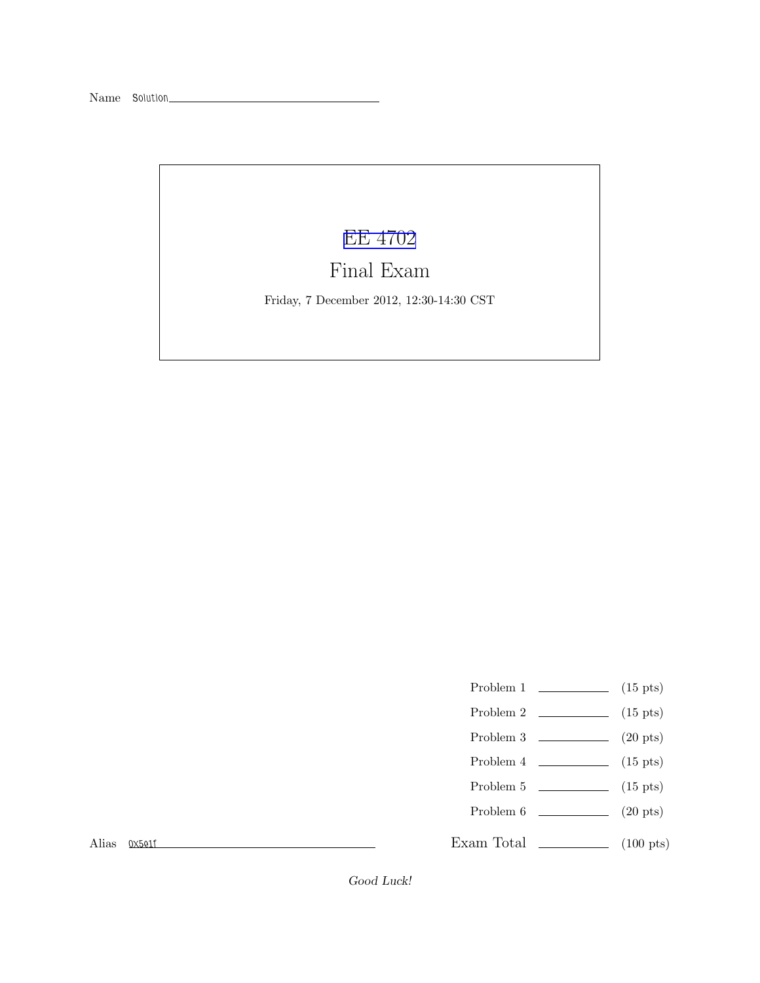## [EE 4702](http://www.ece.lsu.edu/koppel/gpup/)

## Final Exam

Friday, 7 December 2012, 12:30-14:30 CST

- Problem 1  $\qquad \qquad$  (15 pts)
- Problem 2  $\qquad \qquad$  (15 pts)
- Problem 3  $\qquad \qquad$  (20 pts)
- Problem 4  $\sim$  (15 pts)
- Problem 5  $\qquad \qquad$  (15 pts)
- Problem  $6$  (20 pts)

Exam Total  $\qquad \qquad$  (100 pts)

Alias *0x5e1f*

Good Luck!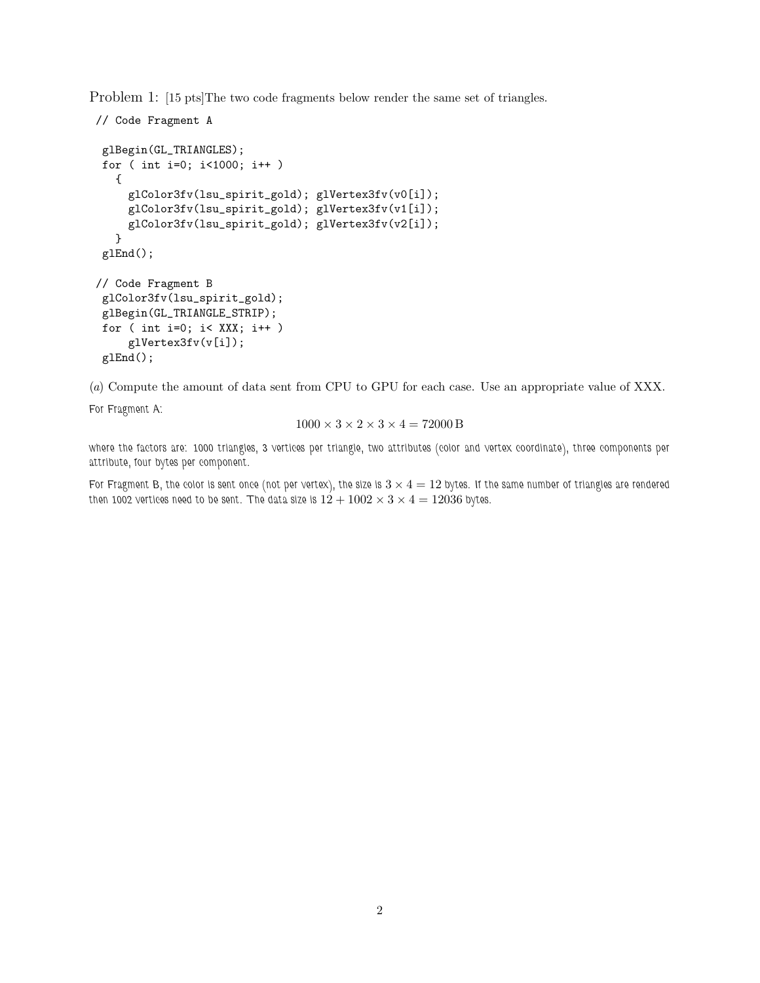Problem 1: [15 pts]The two code fragments below render the same set of triangles.

```
// Code Fragment A
 glBegin(GL_TRIANGLES);
 for ( int i=0; i<1000; i++ )
   {
     glColor3fv(lsu_spirit_gold); glVertex3fv(v0[i]);
     glColor3fv(lsu_spirit_gold); glVertex3fv(v1[i]);
     glColor3fv(lsu_spirit_gold); glVertex3fv(v2[i]);
   }
 glEnd();
// Code Fragment B
 glColor3fv(lsu_spirit_gold);
 glBegin(GL_TRIANGLE_STRIP);
 for ( int i=0; i< XXX; i++ )
     glVertex3fv(v[i]);
 glEnd();
```
(*a*) Compute the amount of data sent from CPU to GPU for each case. Use an appropriate value of XXX.

*For Fragment A:*

$$
1000 \times 3 \times 2 \times 3 \times 4 = 72000 \,\mathrm{B}
$$

*where the factors are: 1000 triangles, 3 vertices per triangle, two attributes (color and vertex coordinate), three components per attribute, four bytes per component.*

*For Fragment B, the color is sent once (not per vertex), the size is*  $3 \times 4 = 12$  bytes. If the same number of triangles are rendered then 1002 vertices need to be sent. The data size is  $12 + 1002 \times 3 \times 4 = 12036$  bytes.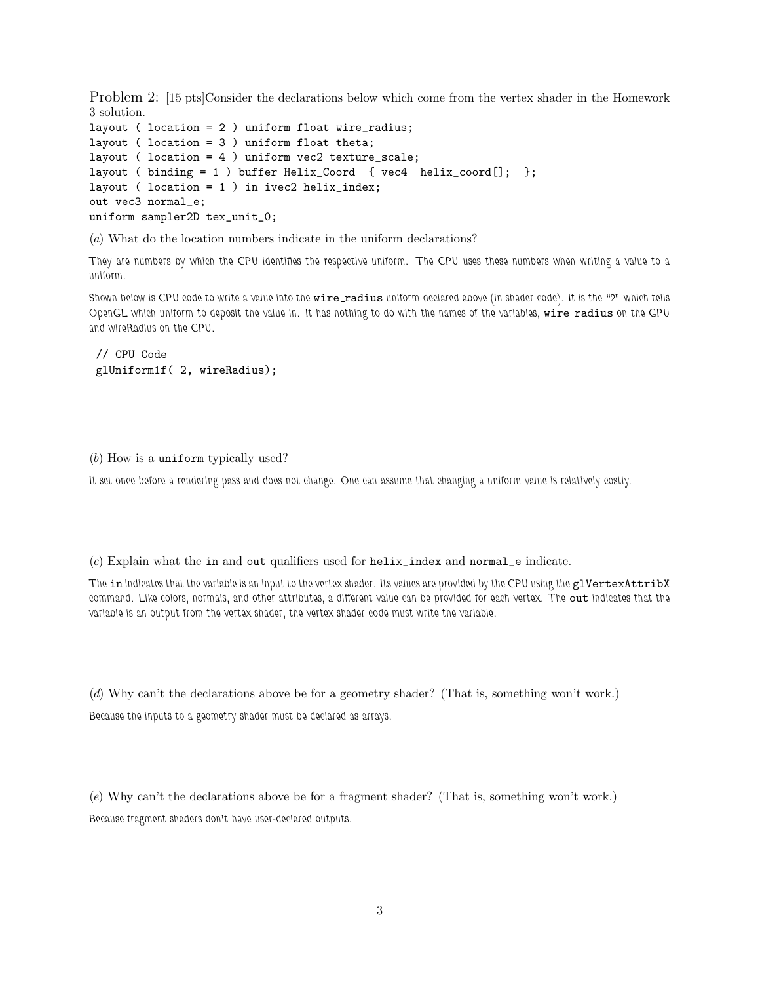Problem 2: [15 pts]Consider the declarations below which come from the vertex shader in the Homework 3 solution.

```
layout ( location = 2 ) uniform float wire_radius;
layout ( location = 3 ) uniform float theta;
layout ( location = 4 ) uniform vec2 texture_scale;
layout ( binding = 1 ) buffer Helix_Coord { vec4 helix_coord[]; };
layout ( location = 1 ) in ivec2 helix_index;
out vec3 normal_e;
uniform sampler2D tex_unit_0;
```
(*a*) What do the location numbers indicate in the uniform declarations?

*They are numbers by which the CPU identifies the respective uniform. The CPU uses these numbers when writing a value to a uniform.*

Shown below is CPU code to write a value into the **wire radius** uniform declared above (in shader code). It is the "2" which tells *OpenGL which uniform to deposit the value in. It has nothing to do with the names of the variables, wire radius on the GPU and wireRadius on the CPU.*

```
// CPU Code
glUniform1f( 2, wireRadius);
```
(*b*) How is a uniform typically used?

*It set once before a rendering pass and does not change. One can assume that changing a uniform value is relatively costly.*

(*c*) Explain what the in and out qualifiers used for helix\_index and normal\_e indicate.

*The* in *indicates that the variable is an input to the vertex shader. Its values are provided by the CPU using the* glVertexAttribX *command. Like colors, normals, and other attributes, a different value can be provided for each vertex. The* out *indicates that the variable is an output from the vertex shader, the vertex shader code must write the variable.*

(*d*) Why can't the declarations above be for a geometry shader? (That is, something won't work.) *Because the inputs to a geometry shader must be declared as arrays.*

(*e*) Why can't the declarations above be for a fragment shader? (That is, something won't work.) *Because fragment shaders don't have user-declared outputs.*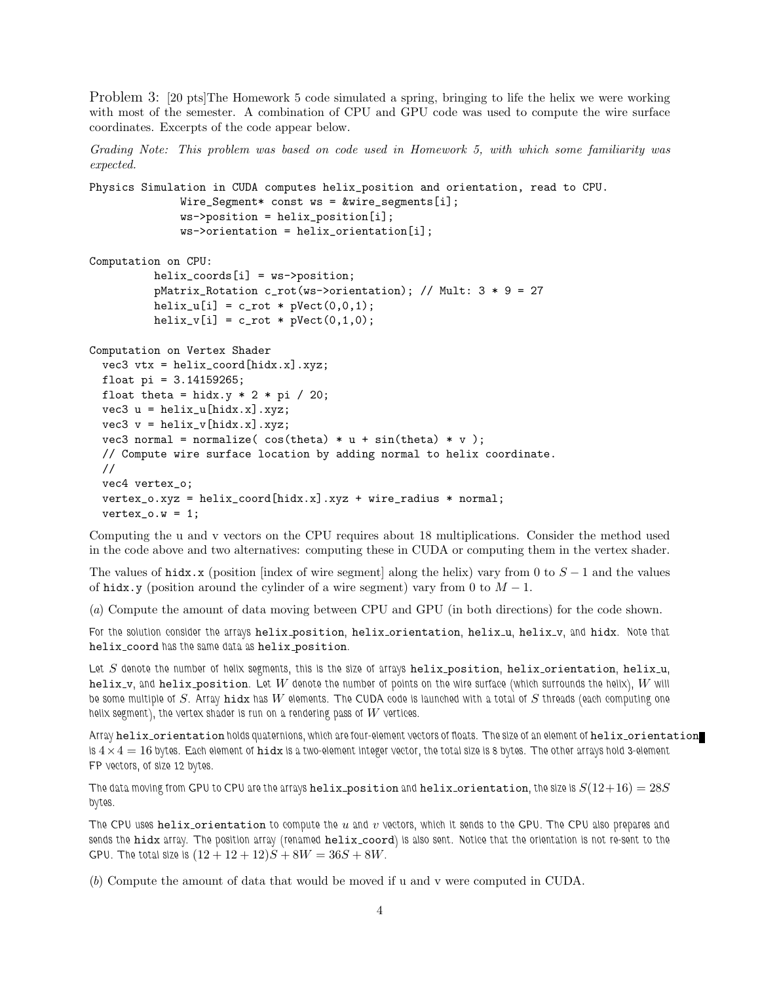Problem 3: [20 pts]The Homework 5 code simulated a spring, bringing to life the helix we were working with most of the semester. A combination of CPU and GPU code was used to compute the wire surface coordinates. Excerpts of the code appear below.

*Grading Note: This problem was based on code used in Homework 5, with which some familiarity was expected.*

```
Physics Simulation in CUDA computes helix_position and orientation, read to CPU.
              Wire_Segment* const ws = &wire_segments[i];
              ws->position = helix_position[i];
              ws->orientation = helix_orientation[i];
```

```
Computation on CPU:
         helix_coords[i] = ws->position;
          pMatrix_Rotation c_rot(ws->orientation); // Mult: 3 * 9 = 27
          helix_u[i] = c_{rot} * pVect(0,0,1);helix_v[i] = c_rot * pVect(0,1,0);
```

```
Computation on Vertex Shader
  vec3 vtx = helix_coord[hidx.x].xyz;
  float pi = 3.14159265;
  float theta = hidx.y * 2 * pi / 20;
  vec3 u = \text{helix_u}[ \text{hidx.x}].xyz;vec3 v = helix_v[hidx.x].xyz;
  vec3 normal = normalize(cos(theta) * u + sin(theta) * v);
  // Compute wire surface location by adding normal to helix coordinate.
  //
  vec4 vertex_o;
  vertex_o.xyz = helix_coord[hidx.x].xyz + wire_radius * normal;
  vertex_0.w = 1;
```
Computing the u and v vectors on the CPU requires about 18 multiplications. Consider the method used in the code above and two alternatives: computing these in CUDA or computing them in the vertex shader.

The values of hidx.x (position [index of wire segment] along the helix) vary from 0 to  $S - 1$  and the values of hidx.y (position around the cylinder of a wire segment) vary from 0 to  $M - 1$ .

(*a*) Compute the amount of data moving between CPU and GPU (in both directions) for the code shown.

*For the solution consider the arrays* helix position*,* helix orientation*,* helix u*,* helix v*, and* hidx*. Note that* helix coord *has the same data as* helix position*.*

*Let* S *denote the number of helix segments, this is the size of arrays* helix position*,* helix orientation*,* helix u*,* helix v*, and* helix position*. Let* W *denote the number of points on the wire surface (which surrounds the helix),* W *will be some multiple of* S*. Array* hidx *has* W *elements. The CUDA code is launched with a total of* S *threads (each computing one helix segment), the vertex shader is run on a rendering pass of* W *vertices.*

Array helix orientation *holds* quaternions, which are four-element vectors of floats. The size of an element of helix orientation *is* 4×4 = 16 *bytes. Each element of* hidx *is a two-element integer vector, the total size is 8 bytes. The other arrays hold 3-element FP vectors, of size 12 bytes.*

The data moving from GPU to CPU are the arrays helix position and helix orientation, the size is  $S(12+16) = 28S$ *bytes.*

*The CPU uses* helix orientation *to compute the* u *and* v *vectors, which it sends to the GPU. The CPU also prepares and sends the* hidx *array. The position array (renamed* helix coord*) is also sent. Notice that the orientation is not re-sent to the GPU.* The total size is  $(12 + 12 + 12)S + 8W = 36S + 8W$ .

(*b*) Compute the amount of data that would be moved if u and v were computed in CUDA.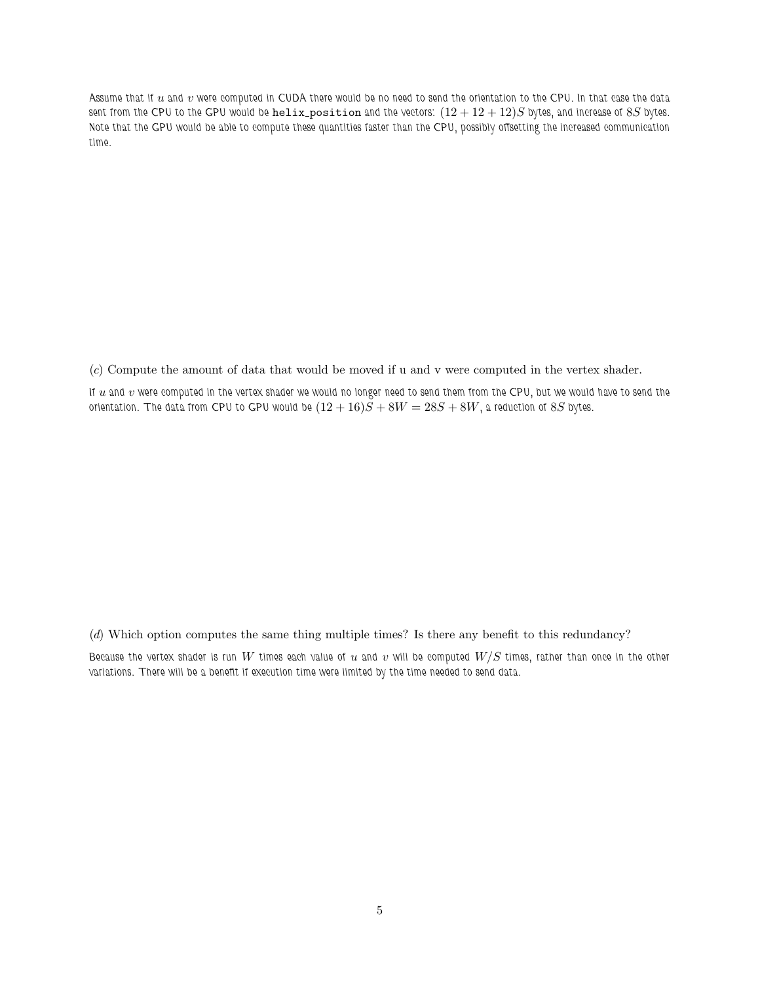*Assume that if* u *and* v *were computed in CUDA there would be no need to send the orientation to the CPU. In that case the data* sent from the CPU to the GPU would be  $\text{helix\_position}$  and the vectors:  $(12 + 12 + 12)S$  bytes, and increase of  $8S$  bytes. *Note that the GPU would be able to compute these quantities faster than the CPU, possibly offsetting the increased communication time.*

(*c*) Compute the amount of data that would be moved if u and v were computed in the vertex shader.

If u and v were computed in the vertex shader we would no longer need to send them from the CPU, but we would have to send the *orientation.* The data from CPU to GPU would be  $(12 + 16)S + 8W = 28S + 8W$ , a reduction of 8S bytes.

(*d*) Which option computes the same thing multiple times? Is there any benefit to this redundancy?

*Because the vertex shader is run* W *times each value of* u *and* v *will be computed* W/S *times, rather than once in the other variations. There will be a benefit if execution time were limited by the time needed to send data.*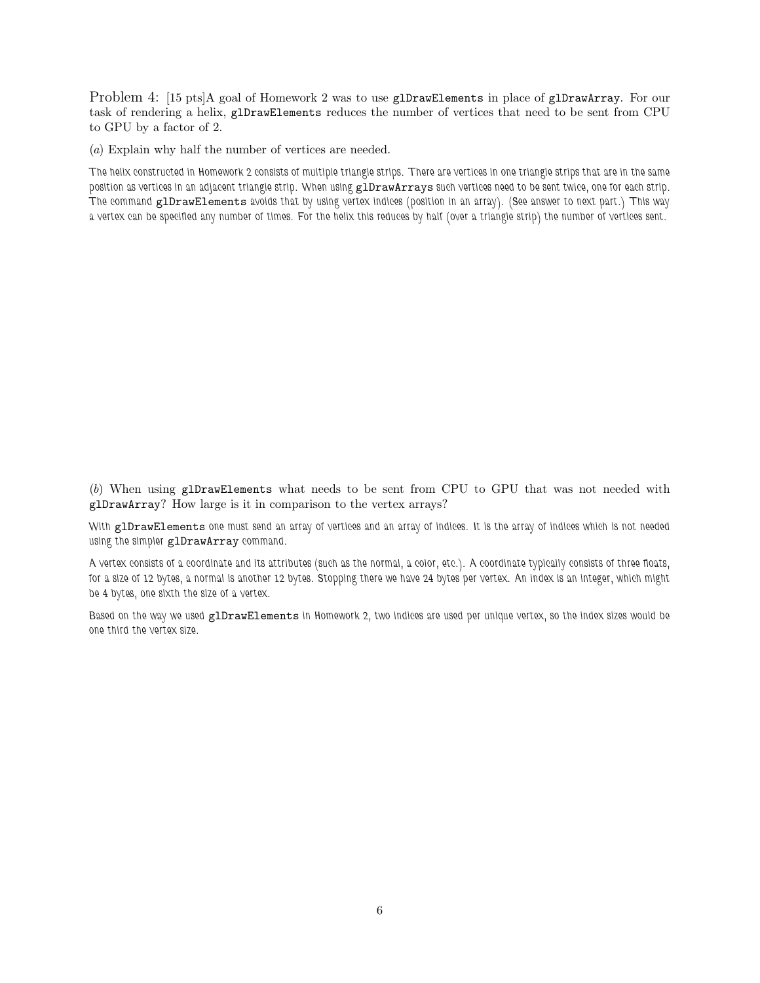Problem 4: [15 pts]A goal of Homework 2 was to use glDrawElements in place of glDrawArray. For our task of rendering a helix, glDrawElements reduces the number of vertices that need to be sent from CPU to GPU by a factor of 2.

(*a*) Explain why half the number of vertices are needed.

*The helix constructed in Homework 2 consists of multiple triangle strips. There are vertices in one triangle strips that are in the same position as vertices in an adjacent triangle strip. When using* glDrawArrays *such vertices need to be sent twice, one for each strip. The command* glDrawElements *avoids that by using vertex indices (position in an array). (See answer to next part.) This way a vertex can be specified any number of times. For the helix this reduces by half (over a triangle strip) the number of vertices sent.*

(*b*) When using glDrawElements what needs to be sent from CPU to GPU that was not needed with glDrawArray? How large is it in comparison to the vertex arrays?

*With* glDrawElements *one must send an array of vertices and an array of indices. It is the array of indices which is not needed using the simpler* glDrawArray *command.*

*A vertex consists of a coordinate and its attributes (such as the normal, a color, etc.). A coordinate typically consists of three floats, for a size of 12 bytes, a normal is another 12 bytes. Stopping there we have 24 bytes per vertex. An index is an integer, which might be 4 bytes, one sixth the size of a vertex.*

*Based on the way we used* glDrawElements *in Homework 2, two indices are used per unique vertex, so the index sizes would be one third the vertex size.*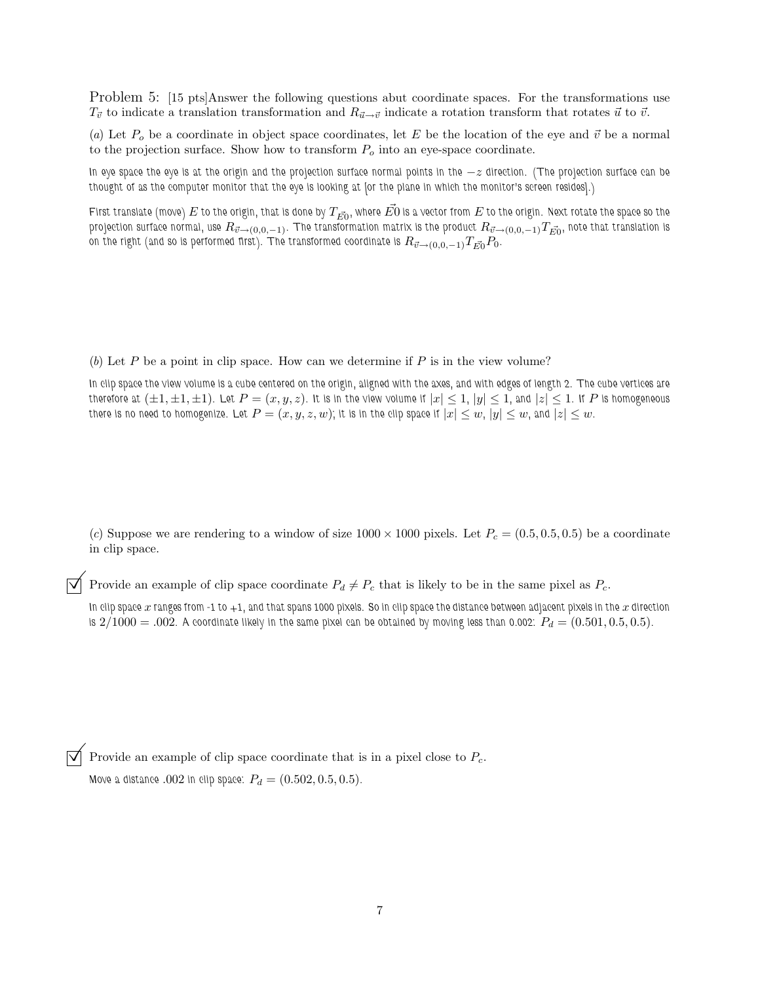Problem 5: [15 pts]Answer the following questions abut coordinate spaces. For the transformations use  $T_{\vec{v}}$  to indicate a translation transformation and  $R_{\vec{u}\to\vec{v}}$  indicate a rotation transform that rotates  $\vec{u}$  to  $\vec{v}$ .

(*a*) Let  $P_o$  be a coordinate in object space coordinates, let E be the location of the eye and  $\vec{v}$  be a normal to the projection surface. Show how to transform  $P_o$  into an eye-space coordinate.

*In eye space the eye is at the origin and the projection surface normal points in the* −z direction. (The projection surface can be *thought of as the computer monitor that the eye is looking at [or the plane in which the monitor's screen resides].)*

First translate (move)  $E$  to the origin, that is done by  $T_{\vec{E0}}$ , where  $\vec{E0}$  is a vector from  $E$  to the origin. Next rotate the space so the  $p$ rojection surface normal, use  $R_{\vec{v}\to (0,0,-1)}$ . The transformation matrix is the product  $R_{\vec{v}\to (0,0,-1)}T_{\vec{E}0}$ , note that translation is on the right (and so is performed first). The transformed coordinate is  $R_{\vec{v}\to (0,0,-1)}T_{\vec{E0}}P_0.$ 

(b) Let  $P$  be a point in clip space. How can we determine if  $P$  is in the view volume?

*In clip space the view volume is a cube centered on the origin, aligned with the axes, and with edges of length 2. The cube vertices are therefore at*  $(\pm 1, \pm 1, \pm 1)$ . Let  $P=(x, y, z)$ . It is in the view volume if  $|x|\leq 1$ ,  $|y|\leq 1$ , and  $|z|\leq 1$ . If  $P$  is homogeneous *there is no need to homogenize. Let*  $P = (x, y, z, w)$ *; it is in the clip space if*  $|x| \leq w$ ,  $|y| \leq w$ , and  $|z| \leq w$ .

(*c*) Suppose we are rendering to a window of size  $1000 \times 1000$  pixels. Let  $P_c = (0.5, 0.5, 0.5)$  be a coordinate in clip space.

Provide an example of clip space coordinate  $P_d \neq P_c$  that is likely to be in the same pixel as  $P_c$ .

In clip space x ranges from -1 to +1, and that spans 1000 pixels. So in clip space the distance between adjacent pixels in the x direction *is*  $2/1000 = .002$ . A coordinate likely in the same pixel can be obtained by moving less than 0.002:  $P_d = (0.501, 0.5, 0.5)$ .

Provide an example of clip space coordinate that is in a pixel close to  $P_c$ .

*Move a distance* .002 in clip space:  $P_d = (0.502, 0.5, 0.5)$ .